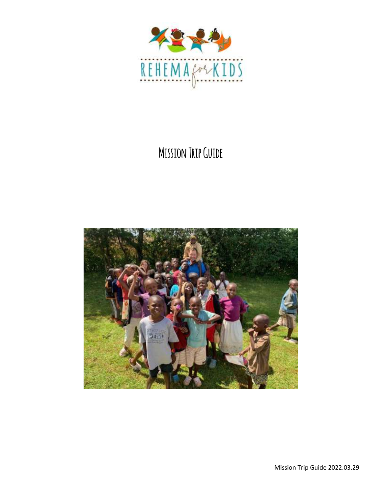

## **Mission Trip Guide**

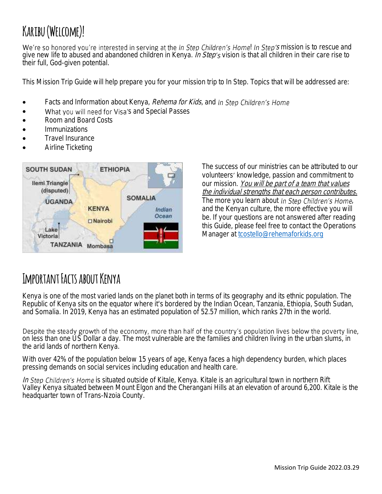# **Karibu (Welcome)!**

We're so honored you're interested in serving at the In Step Children's Home! In Step's mission is to rescue and give new life to abused and abandoned children in Kenya. In Step's vision is that all children in their care rise to their full, God-given potential.

This Mission Trip Guide will help prepare you for your mission trip to In Step. Topics that will be addressed are:

- Facts and Information about Kenya, *Rehema for Kids*, and In Step Children's Home
- What you will need for Visa's and Special Passes
- Room and Board Costs
- **Immunizations**
- Travel Insurance
- Airline Ticketing



The success of our ministries can be attributed to our volunteers' knowledge, passion and commitment to our mission. You will be part of a team that values the individual strengths that each person contributes. The more you learn about In Step Children's Home, and the Kenyan culture, the more effective you will be. If your questions are not answered after reading this Guide, please feel free to contact the Operations Manager at [tcostello@rehemaforkids.org](mailto:tcostello@rehemaforkids.org)

#### **IMPORTANT FACTS ABOUT KENYA**

[Kenya](http://worldpopulationreview.com/countries/kenya-population/) is one of the most varied lands on the planet both in terms of its geography and its ethnic population. The Republic of Kenya sits on the equator where it's bordered by the Indian Ocean, [Tanzania,](http://worldpopulationreview.com/countries/tanzania-population/) [Ethiopia,](http://worldpopulationreview.com/countries/ethiopia-population/) [South](http://worldpopulationreview.com/countries/south-sudan-population/) [Sudan,](http://worldpopulationreview.com/countries/sudan-population/) and [Somalia.](http://worldpopulationreview.com/countries/somalia-population/) In 2019, Kenya has an estimated population of 52.57 million, which ranks 27th in the world.

Despite the steady growth of the economy, more than half of the country's population lives below the poverty line, on less than one US Dollar a day. The most vulnerable are the families and children living in the urban slums, in the arid lands of northern Kenya.

With over 42% of the population below 15 years of age, Kenya faces a high dependency burden, which places pressing demands on social services including education and health care.

In Step Children's Home is situated outside of Kitale, Kenya. Kitale is an agricultural town in northern Rift Valley [Kenya](https://en.wikipedia.org/wiki/Kenya) situated between Mount Elgon and the Cherangani Hills at an elevation of around 6,200. Kitale is the headquarter town of Trans-Nzoia County.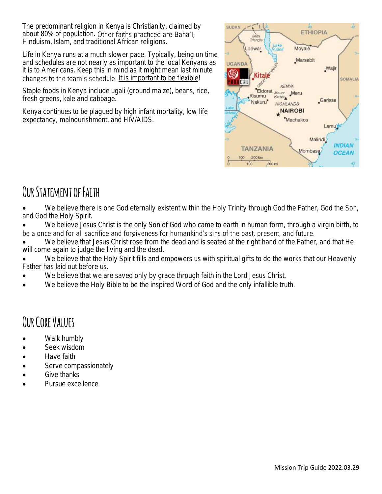The predominant religion in Kenya is Christianity, claimed by about 80% of population. Other faiths practiced are Baha'l, Hinduism, Islam, and traditional African religions.

Life in Kenya runs at a much slower pace. Typically, being on time and schedules are not nearly as important to the local Kenyans as it is to Americans. Keep this in mind as it might mean last minute changes to the team's schedule. It is important to be flexible!

Staple foods in Kenya include ugali (ground maize), beans, rice, fresh greens, kale and cabbage.

Kenya continues to be plagued by high infant mortality, low life expectancy, malnourishment, and HIV/AIDS.



### **Our Statement of Faith**

We believe there is one God eternally existent within the Holy Trinity through God the Father, God the Son, and God the Holy Spirit.

• We believe Jesus Christ is the only Son of God who came to earth in human form, through a virgin birth, to be a once and for all sacrifice and forgiveness for humankind's sins of the past, present, and future.

We believe that Jesus Christ rose from the dead and is seated at the right hand of the Father, and that He will come again to judge the living and the dead.

We believe that the Holy Spirit fills and empowers us with spiritual gifts to do the works that our Heavenly Father has laid out before us.

- We believe that we are saved only by grace through faith in the Lord Jesus Christ.
- We believe the Holy Bible to be the inspired Word of God and the only infallible truth.

## **Our Core Values**

- Walk humbly
- Seek wisdom
- Have faith
- Serve compassionately
- Give thanks
- Pursue excellence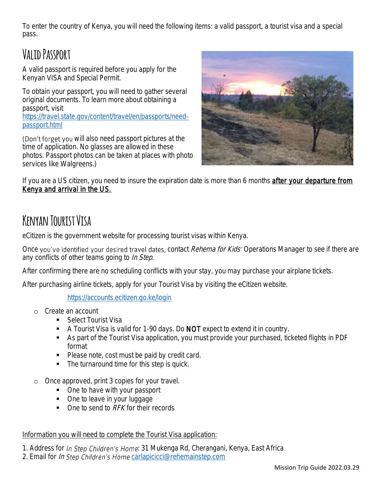To enter the country of Kenya, you will need the following items: a valid passport, a tourist visa and a special pass.

## **Valid Passport**

A valid passport is required before you apply for the Kenyan VISA and Special Permit.

To obtain your passport, you will need to gather several original documents. To learn more about obtaining a passport, visit

[https://travel.state.gov/content/travel/en/passports/need](https://travel.state.gov/content/travel/en/passports/need-passport.html)[passport.html](https://travel.state.gov/content/travel/en/passports/need-passport.html)

(Don't forget you will also need passport pictures at the time of application. No glasses are allowed in these photos. Passport photos can be taken at places with photo services like Walgreens.)



If you are a US citizen, you need to insure the expiration date is more than 6 months after your departure from Kenya and arrival in the US.

## **Kenyan Tourist Visa**

eCitizen is the government website for processing tourist visas within Kenya.

Once you've identified your desired travel dates, contact Rehema for Kids' Operations Manager to see if there are any conflicts of other teams going to *In Step*.

After confirming there are no scheduling conflicts with your stay, you may purchase your airplane tickets.

After purchasing airline tickets, apply for your Tourist Visa by visiting the eCitizen website.

<https://accounts.ecitizen.go.ke/login>

- o Create an account
	- Select Tourist Visa
	- A Tourist Visa is valid for 1-90 days. Do NOT expect to extend it in country.
	- As part of the Tourist Visa application, you must provide your purchased, ticketed flights in PDF format
	- Please note, cost must be paid by credit card.
	- The turnaround time for this step is quick.
- o Once approved, print 3 copies for your travel.
	- One to have with your passport
	- One to leave in your luggage
	- One to send to RFK for their records

#### Information you will need to complete the Tourist Visa application:

1. Address for In Step Children's Home: 31 Mukenga Rd, Cherangani, Kenya, East Africa

2. Email for In Step Children's Home [carlapicicci@rehemainstep.com](mailto:carlapicicci@rehemainstep.com)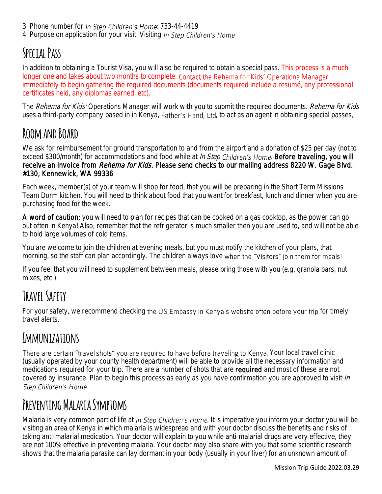- 3. Phone number for In Step Children's Home: 733-44-4419
- 4. Purpose on application for your visit: Visiting In Step Children's Home

## **Special Pass**

In addition to obtaining a Tourist Visa, you will also be required to obtain a special pass. This process is a much longer one and takes about two months to complete. Contact the Rehema for Kids' Operations Manager immediately to begin gathering the required documents (documents required include a resumé, any professional certificates held, any diplomas earned, etc).

The Rehema for Kids' Operations Manager will work with you to submit the required documents. Rehema for Kids uses a third-party company based in in Kenya, Father's Hand, Ltd, to act as an agent in obtaining special passes.

#### **Room and Board**

We ask for reimbursement for ground transportation to and from the airport and a donation of \$25 per day (not to exceed \$300/month) for accommodations and food while at *In Step Children's Home*. **Before traveling, you will** receive an invoice from *Rehema for Kids*. Please send checks to our mailing address 8220 W. Gage Blvd. #130, Kennewick, WA 99336

Each week, member(s) of your team will shop for food, that you will be preparing in the Short Term Missions Team Dorm kitchen. You will need to think about food that you want for breakfast, lunch and dinner when you are purchasing food for the week.

A word of caution: you will need to plan for recipes that can be cooked on a gas cooktop, as the power can go out often in Kenya! Also, remember that the refrigerator is much smaller then you are used to, and will not be able to hold large volumes of cold items.

You are welcome to join the children at evening meals, but you must notify the kitchen of your plans, that morning, so the staff can plan accordingly. The children always love when the "Visitors" join them for meals!

If you feel that you will need to supplement between meals, please bring those with you (e.g. granola bars, nut mixes, etc.)

# **Travel Safety**

For your safety, we recommend checking the US Embassy in Kenya's website often before your trip for timely travel alerts.

# **Immunizations**

There are certain "travel shots" you are required to have before traveling to Kenya. Your local travel clinic (usually operated by your county health department) will be able to provide all the necessary information and medications required for your trip. There are a number of shots that are **required** and most of these are not covered by insurance. Plan to begin this process as early as you have confirmation you are approved to visit In Step Children's Home.

## PREVENTING MALARIA SYMPTOMS

Malaria is very common part of life at In Step Children's Home. It is imperative you inform your doctor you will be visiting an area of Kenya in which malaria is widespread and with your doctor discuss the benefits and risks of taking anti-malarial medication. Your doctor will explain to you while anti-malarial drugs are very effective, they are not 100% effective in preventing malaria. Your doctor may also share with you that some scientific research shows that the malaria parasite can lay dormant in your body (usually in your liver) for an unknown amount of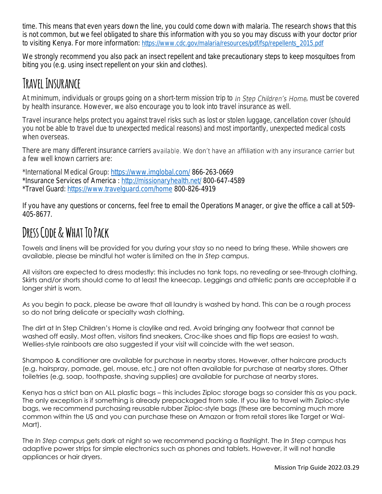time. This means that even years down the line, you could come down with malaria. The research shows that this is not common, but we feel obligated to share this information with you so you may discuss with your doctor prior to visiting Kenya. For more information: [https://www.cdc.gov/malaria/resources/pdf/fsp/repellents\\_2015.pdf](https://www.cdc.gov/malaria/resources/pdf/fsp/repellents_2015.pdf)

We strongly recommend you also pack an insect repellent and take precautionary steps to keep mosquitoes from biting you (e.g. using insect repellent on your skin and clothes).

#### **Travel Insurance**

At minimum, individuals or groups going on a short-term mission trip to In Step Children's Home, must be covered by health insurance. However, we also encourage you to look into travel insurance as well.

Travel insurance helps protect you against travel risks such as lost or stolen luggage, cancellation cover (should you not be able to travel due to unexpected medical reasons) and most importantly, unexpected medical costs when overseas.

There are many different insurance carriers available. We don't have an affiliation with any insurance carrier but a few well known carriers are:

\*International Medical Group:<https://www.imglobal.com/> 866-263-0669 \*Insurance Services of America :<http://missionaryhealth.net/> 800-647-4589 \*Travel Guard:<https://www.travelguard.com/home> 800-826-4919

If you have any questions or concerns, feel free to email the Operations Manager, or give the office a call at 509- 405-8677.

## **Dress Code & What To Pack**

Towels and linens will be provided for you during your stay so no need to bring these. While showers are available, please be mindful hot water is limited on the *In Step* campus.

All visitors are expected to dress modestly: this includes no tank tops, no revealing or see-through clothing. Skirts and/or shorts should come to at least the kneecap. Leggings and athletic pants are acceptable if a longer shirt is worn.

As you begin to pack, please be aware that all laundry is washed by hand. This can be a rough process so do not bring delicate or specialty wash clothing.

The dirt at In Step Children's Home is claylike and red. Avoid bringing any footwear that cannot be washed off easily. Most often, visitors find sneakers, Croc-like shoes and flip flops are easiest to wash. Wellies-style rainboots are also suggested if your visit will coincide with the wet season.

Shampoo & conditioner are available for purchase in nearby stores. However, other haircare products (e.g. hairspray, pomade, gel, mouse, etc.) are not often available for purchase at nearby stores. Other toiletries (e.g. soap, toothpaste, shaving supplies) are available for purchase at nearby stores.

Kenya has a strict ban on ALL plastic bags – this includes Ziploc storage bags so consider this as you pack. The only exception is if something is already prepackaged from sale. If you like to travel with Ziploc-style bags, we recommend purchasing reusable rubber Ziploc-style bags (these are becoming much more common within the US and you can purchase these on Amazon or from retail stores like Target or Wal-Mart).

The *In Step* campus gets dark at night so we recommend packing a flashlight. The *In Step* campus has adaptive power strips for simple electronics such as phones and tablets. However, it will not handle appliances or hair dryers.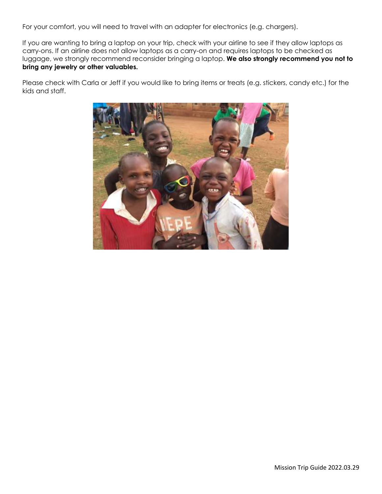For your comfort, you will need to travel with an adapter for electronics (e.g. chargers).

If you are wanting to bring a laptop on your trip, check with your airline to see if they allow laptops as carry-ons. If an airline does not allow laptops as a carry-on and requires laptops to be checked as luggage, we strongly recommend reconsider bringing a laptop. **We also strongly recommend you not to bring any jewelry or other valuables.**

Please check with Carla or Jeff if you would like to bring items or treats (e.g. stickers, candy etc.) for the kids and staff.